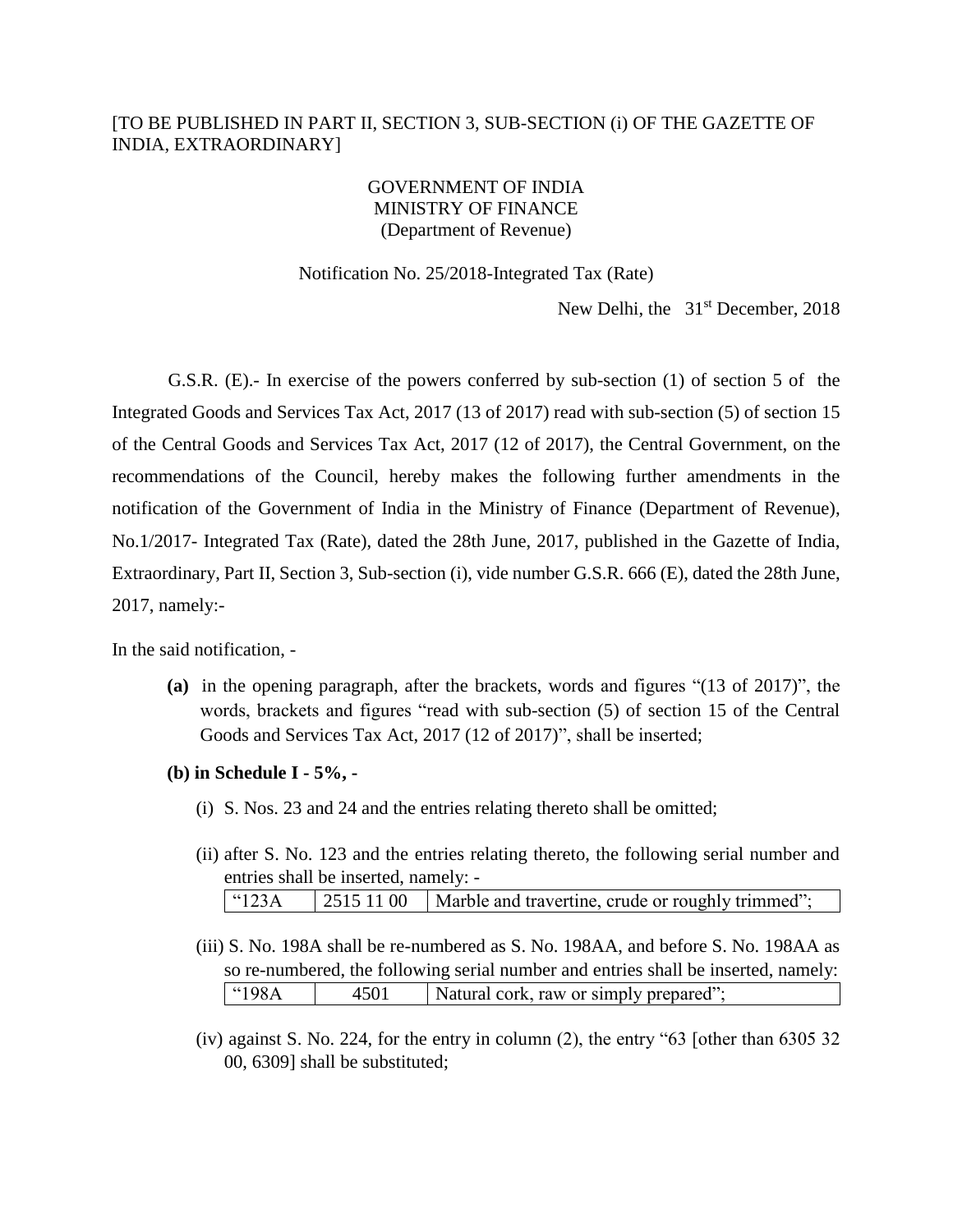# [TO BE PUBLISHED IN PART II, SECTION 3, SUB-SECTION (i) OF THE GAZETTE OF INDIA, EXTRAORDINARY]

## GOVERNMENT OF INDIA MINISTRY OF FINANCE (Department of Revenue)

#### Notification No. 25/2018-Integrated Tax (Rate)

New Delhi, the 31<sup>st</sup> December, 2018

G.S.R. (E).- In exercise of the powers conferred by sub-section (1) of section 5 of the Integrated Goods and Services Tax Act, 2017 (13 of 2017) read with sub-section (5) of section 15 of the Central Goods and Services Tax Act, 2017 (12 of 2017), the Central Government, on the recommendations of the Council, hereby makes the following further amendments in the notification of the Government of India in the Ministry of Finance (Department of Revenue), No.1/2017- Integrated Tax (Rate), dated the 28th June, 2017, published in the Gazette of India, Extraordinary, Part II, Section 3, Sub-section (i), vide number G.S.R. 666 (E), dated the 28th June, 2017, namely:-

In the said notification, -

- **(a)** in the opening paragraph, after the brackets, words and figures "(13 of 2017)", the words, brackets and figures "read with sub-section (5) of section 15 of the Central Goods and Services Tax Act, 2017 (12 of 2017)", shall be inserted;
- **(b) in Schedule I - 5%, -**
	- (i) S. Nos. 23 and 24 and the entries relating thereto shall be omitted;
	- (ii) after S. No. 123 and the entries relating thereto, the following serial number and entries shall be inserted, namely: - "123A | 2515 11 00 | Marble and travertine, crude or roughly trimmed";
	- (iii) S. No. 198A shall be re-numbered as S. No. 198AA, and before S. No. 198AA as so re-numbered, the following serial number and entries shall be inserted, namely:  $\overline{198A}$  | 4501 | Natural cork, raw or simply prepared";
	- (iv) against S. No. 224, for the entry in column (2), the entry "63 [other than 6305 32 00, 6309] shall be substituted;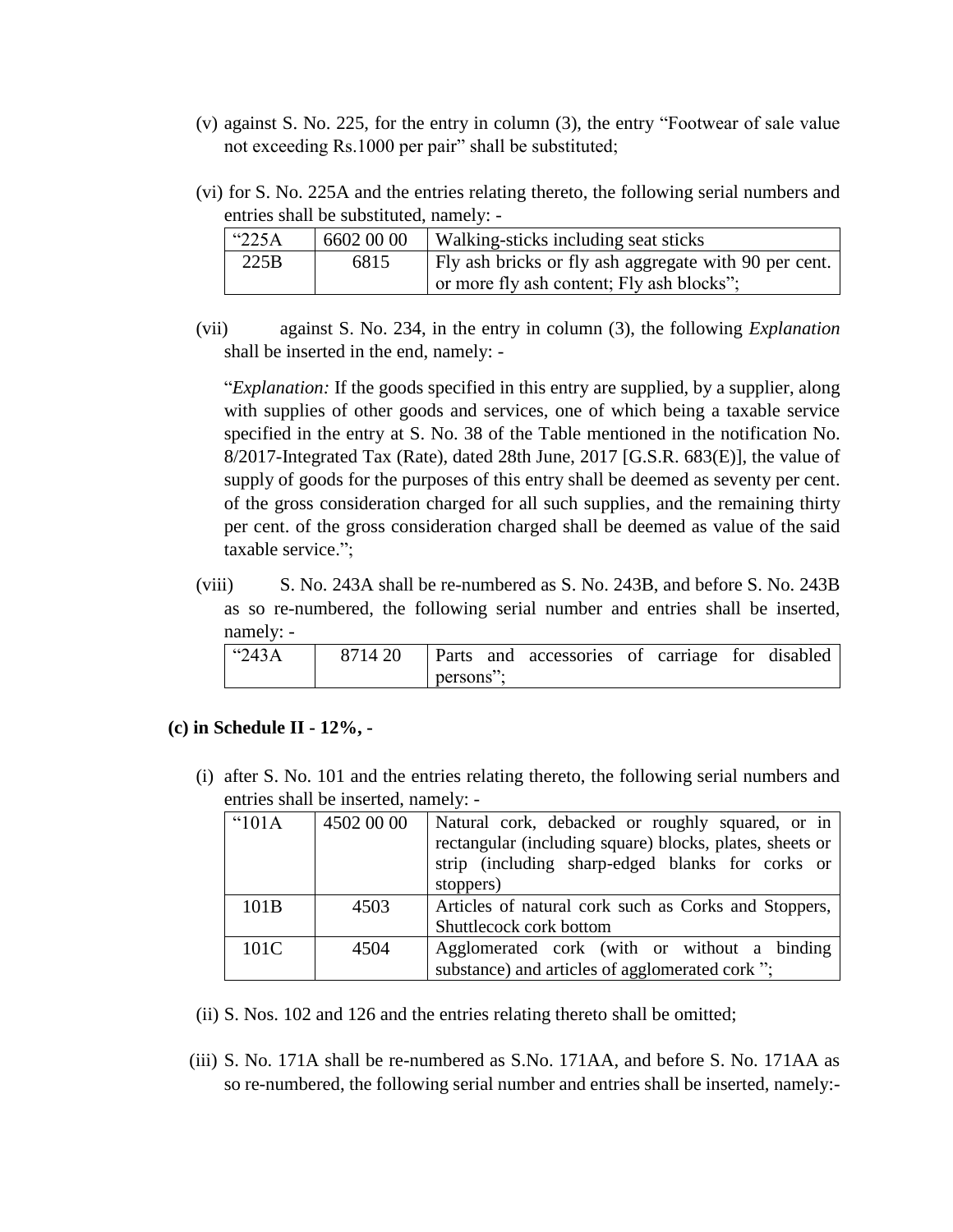- (v) against S. No. 225, for the entry in column (3), the entry "Footwear of sale value not exceeding Rs.1000 per pair" shall be substituted;
- (vi) for S. No. 225A and the entries relating thereto, the following serial numbers and entries shall be substituted, namely: -

| "225A" | 6602 00 00 | Walking-sticks including seat sticks                                                               |
|--------|------------|----------------------------------------------------------------------------------------------------|
| 225B   | 6815       | Fly ash bricks or fly ash aggregate with 90 per cent.<br>or more fly ash content; Fly ash blocks"; |

(vii) against S. No. 234, in the entry in column (3), the following *Explanation* shall be inserted in the end, namely: -

"*Explanation:* If the goods specified in this entry are supplied, by a supplier, along with supplies of other goods and services, one of which being a taxable service specified in the entry at S. No. 38 of the Table mentioned in the notification No. 8/2017-Integrated Tax (Rate), dated 28th June, 2017 [G.S.R. 683(E)], the value of supply of goods for the purposes of this entry shall be deemed as seventy per cent. of the gross consideration charged for all such supplies, and the remaining thirty per cent. of the gross consideration charged shall be deemed as value of the said taxable service.";

(viii) S. No. 243A shall be re-numbered as S. No. 243B, and before S. No. 243B as so re-numbered, the following serial number and entries shall be inserted, namely: -

| $^{\circ}243A$ |           | 8714 20   Parts and accessories of carriage for disabled |  |  |
|----------------|-----------|----------------------------------------------------------|--|--|
|                | persons": |                                                          |  |  |

#### **(c) in Schedule II - 12%, -**

(i) after S. No. 101 and the entries relating thereto, the following serial numbers and entries shall be inserted, namely: -

| $^{\prime\prime}101A$ | 4502 00 00 | Natural cork, debacked or roughly squared, or in         |
|-----------------------|------------|----------------------------------------------------------|
|                       |            | rectangular (including square) blocks, plates, sheets or |
|                       |            | strip (including sharp-edged blanks for corks or         |
|                       |            | stoppers)                                                |
| 101B                  | 4503       | Articles of natural cork such as Corks and Stoppers,     |
|                       |            | Shuttlecock cork bottom                                  |
| 101C                  | 4504       | Agglomerated cork (with or without a binding             |
|                       |            | substance) and articles of agglomerated cork ";          |

- (ii) S. Nos. 102 and 126 and the entries relating thereto shall be omitted;
- (iii) S. No. 171A shall be re-numbered as S.No. 171AA, and before S. No. 171AA as so re-numbered, the following serial number and entries shall be inserted, namely:-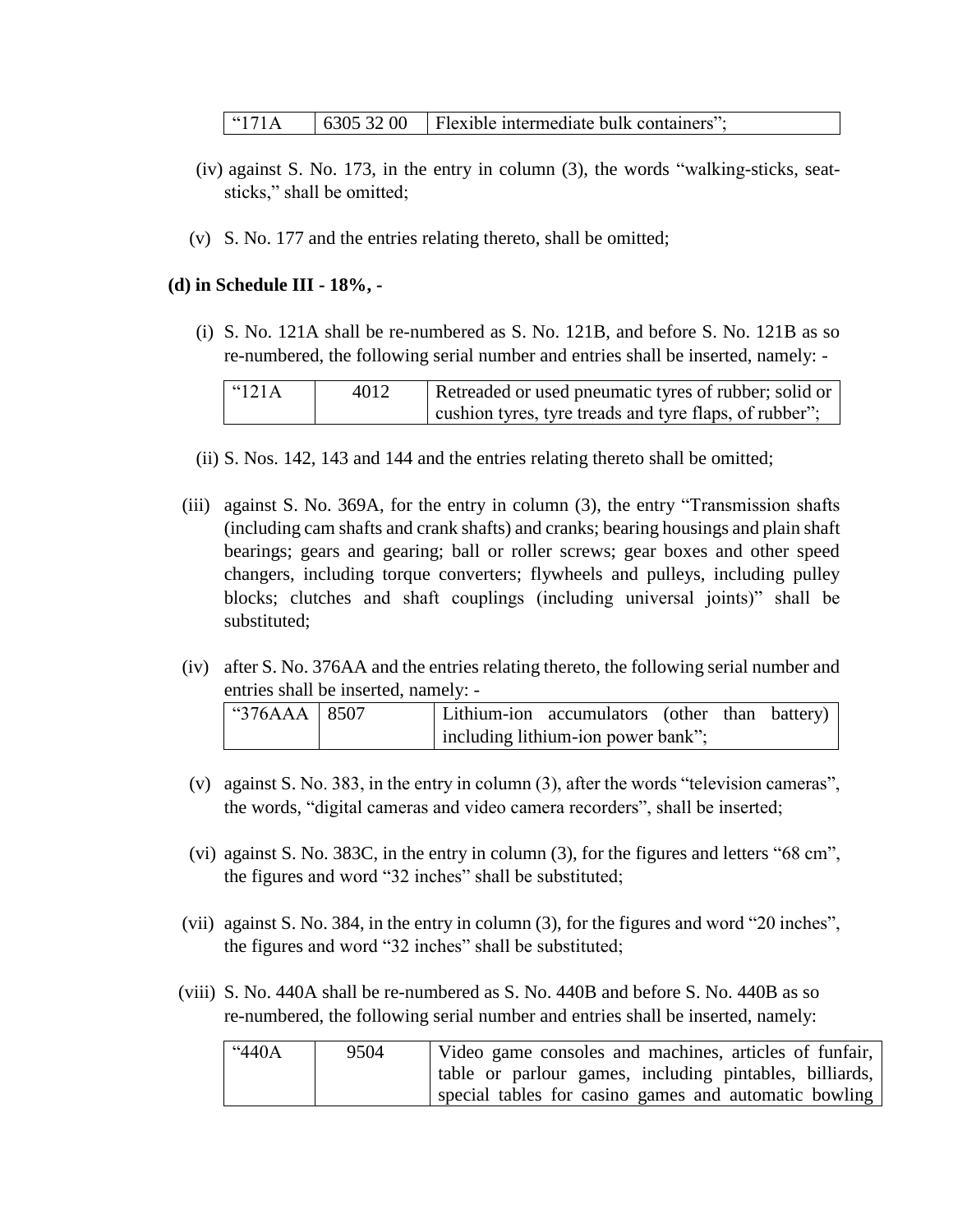" $171A$  | 6305 32 00 | Flexible intermediate bulk containers";

- (iv) against S. No. 173, in the entry in column (3), the words "walking-sticks, seatsticks," shall be omitted;
- (v) S. No. 177 and the entries relating thereto, shall be omitted;

## **(d) in Schedule III - 18%, -**

(i) S. No. 121A shall be re-numbered as S. No. 121B, and before S. No. 121B as so re-numbered, the following serial number and entries shall be inserted, namely: -

| $\lceil$ "121A | 4012 | Retreaded or used pneumatic tyres of rubber; solid or  |
|----------------|------|--------------------------------------------------------|
|                |      | cushion tyres, tyre treads and tyre flaps, of rubber"; |

- (ii) S. Nos. 142, 143 and 144 and the entries relating thereto shall be omitted;
- (iii) against S. No. 369A, for the entry in column (3), the entry "Transmission shafts (including cam shafts and crank shafts) and cranks; bearing housings and plain shaft bearings; gears and gearing; ball or roller screws; gear boxes and other speed changers, including torque converters; flywheels and pulleys, including pulley blocks; clutches and shaft couplings (including universal joints)" shall be substituted;
- (iv) after S. No. 376AA and the entries relating thereto, the following serial number and entries shall be inserted, namely: -

| $^{\circ}376AAA$   8507 |  | Lithium-ion accumulators (other than battery) |  |  |
|-------------------------|--|-----------------------------------------------|--|--|
|                         |  | including lithium-ion power bank";            |  |  |

- (v) against S. No. 383, in the entry in column (3), after the words "television cameras", the words, "digital cameras and video camera recorders", shall be inserted;
- (vi) against S. No. 383C, in the entry in column (3), for the figures and letters "68 cm", the figures and word "32 inches" shall be substituted;
- (vii) against S. No. 384, in the entry in column (3), for the figures and word "20 inches", the figures and word "32 inches" shall be substituted;
- (viii) S. No. 440A shall be re-numbered as S. No. 440B and before S. No. 440B as so re-numbered, the following serial number and entries shall be inserted, namely:

| "440A | 9504 | Video game consoles and machines, articles of funfair,  |
|-------|------|---------------------------------------------------------|
|       |      | table or parlour games, including pintables, billiards, |
|       |      | special tables for casino games and automatic bowling   |